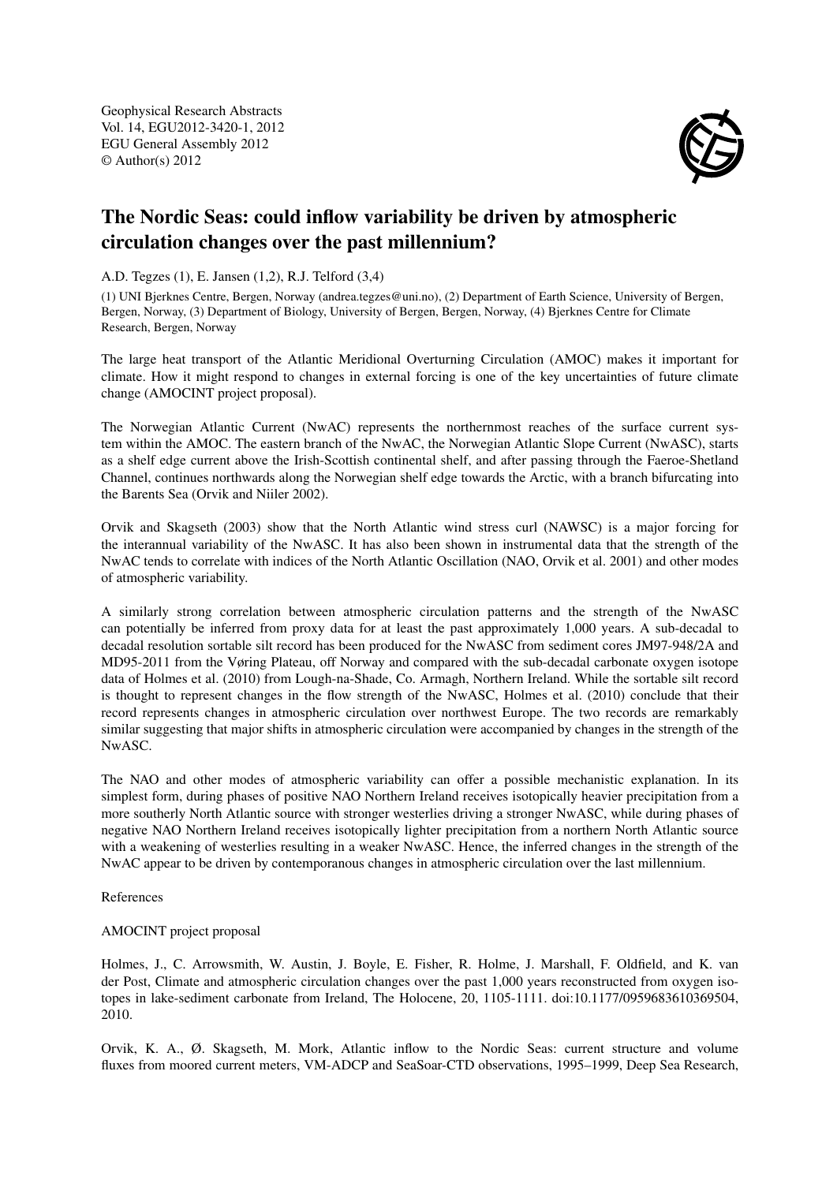Geophysical Research Abstracts Vol. 14, EGU2012-3420-1, 2012 EGU General Assembly 2012 © Author(s) 2012



## The Nordic Seas: could inflow variability be driven by atmospheric circulation changes over the past millennium?

A.D. Tegzes (1), E. Jansen (1,2), R.J. Telford (3,4)

(1) UNI Bjerknes Centre, Bergen, Norway (andrea.tegzes@uni.no), (2) Department of Earth Science, University of Bergen, Bergen, Norway, (3) Department of Biology, University of Bergen, Bergen, Norway, (4) Bjerknes Centre for Climate Research, Bergen, Norway

The large heat transport of the Atlantic Meridional Overturning Circulation (AMOC) makes it important for climate. How it might respond to changes in external forcing is one of the key uncertainties of future climate change (AMOCINT project proposal).

The Norwegian Atlantic Current (NwAC) represents the northernmost reaches of the surface current system within the AMOC. The eastern branch of the NwAC, the Norwegian Atlantic Slope Current (NwASC), starts as a shelf edge current above the Irish-Scottish continental shelf, and after passing through the Faeroe-Shetland Channel, continues northwards along the Norwegian shelf edge towards the Arctic, with a branch bifurcating into the Barents Sea (Orvik and Niiler 2002).

Orvik and Skagseth (2003) show that the North Atlantic wind stress curl (NAWSC) is a major forcing for the interannual variability of the NwASC. It has also been shown in instrumental data that the strength of the NwAC tends to correlate with indices of the North Atlantic Oscillation (NAO, Orvik et al. 2001) and other modes of atmospheric variability.

A similarly strong correlation between atmospheric circulation patterns and the strength of the NwASC can potentially be inferred from proxy data for at least the past approximately 1,000 years. A sub-decadal to decadal resolution sortable silt record has been produced for the NwASC from sediment cores JM97-948/2A and MD95-2011 from the Vøring Plateau, off Norway and compared with the sub-decadal carbonate oxygen isotope data of Holmes et al. (2010) from Lough-na-Shade, Co. Armagh, Northern Ireland. While the sortable silt record is thought to represent changes in the flow strength of the NwASC, Holmes et al. (2010) conclude that their record represents changes in atmospheric circulation over northwest Europe. The two records are remarkably similar suggesting that major shifts in atmospheric circulation were accompanied by changes in the strength of the NwASC.

The NAO and other modes of atmospheric variability can offer a possible mechanistic explanation. In its simplest form, during phases of positive NAO Northern Ireland receives isotopically heavier precipitation from a more southerly North Atlantic source with stronger westerlies driving a stronger NwASC, while during phases of negative NAO Northern Ireland receives isotopically lighter precipitation from a northern North Atlantic source with a weakening of westerlies resulting in a weaker NwASC. Hence, the inferred changes in the strength of the NwAC appear to be driven by contemporanous changes in atmospheric circulation over the last millennium.

References

## AMOCINT project proposal

Holmes, J., C. Arrowsmith, W. Austin, J. Boyle, E. Fisher, R. Holme, J. Marshall, F. Oldfield, and K. van der Post, Climate and atmospheric circulation changes over the past 1,000 years reconstructed from oxygen isotopes in lake-sediment carbonate from Ireland, The Holocene, 20, 1105-1111. doi:10.1177/0959683610369504, 2010.

Orvik, K. A., Ø. Skagseth, M. Mork, Atlantic inflow to the Nordic Seas: current structure and volume fluxes from moored current meters, VM-ADCP and SeaSoar-CTD observations, 1995–1999, Deep Sea Research,